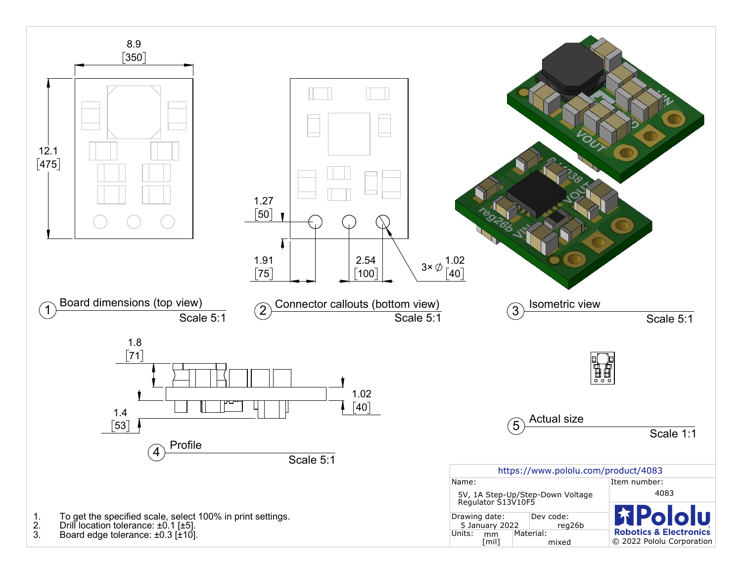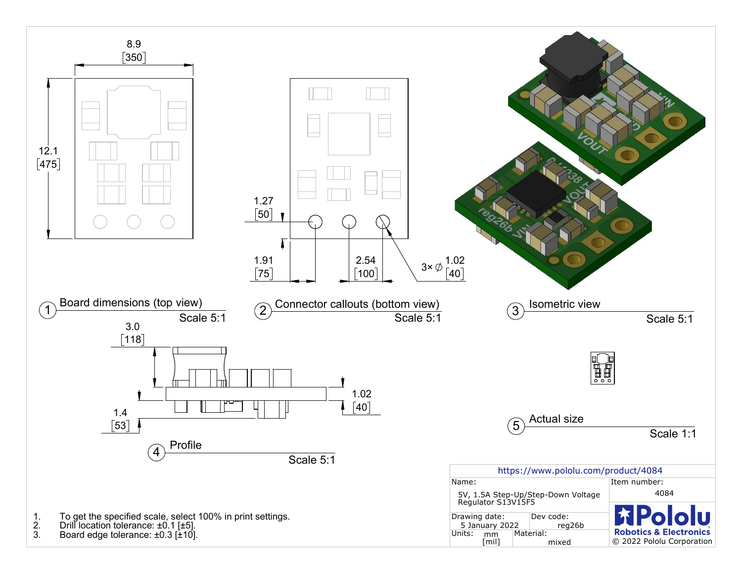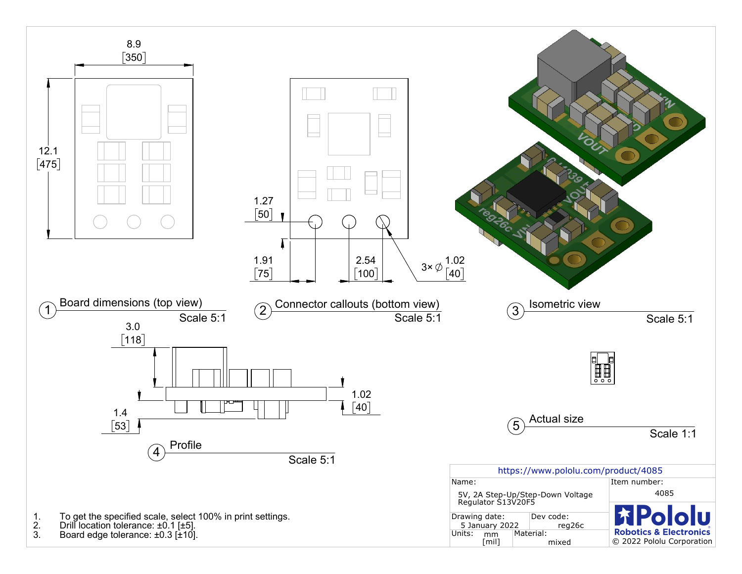